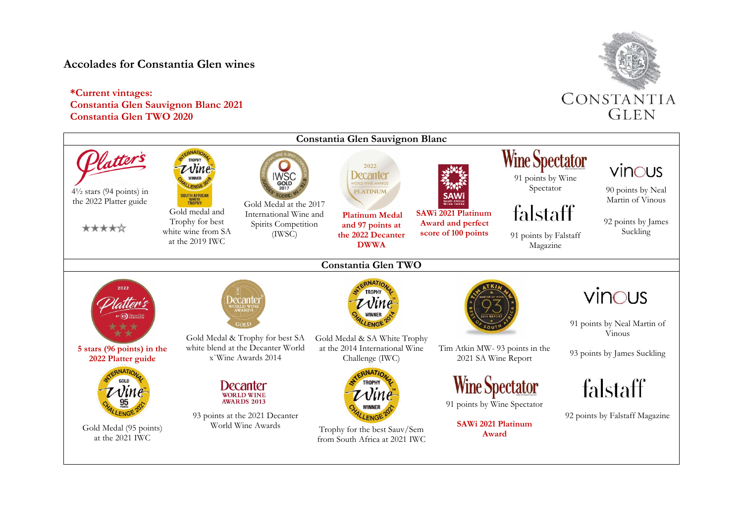## **Accolades for Constantia Glen wines**

## **\*Current vintages: Constantia Glen Sauvignon Blanc 2021 Constantia Glen TWO 2020**